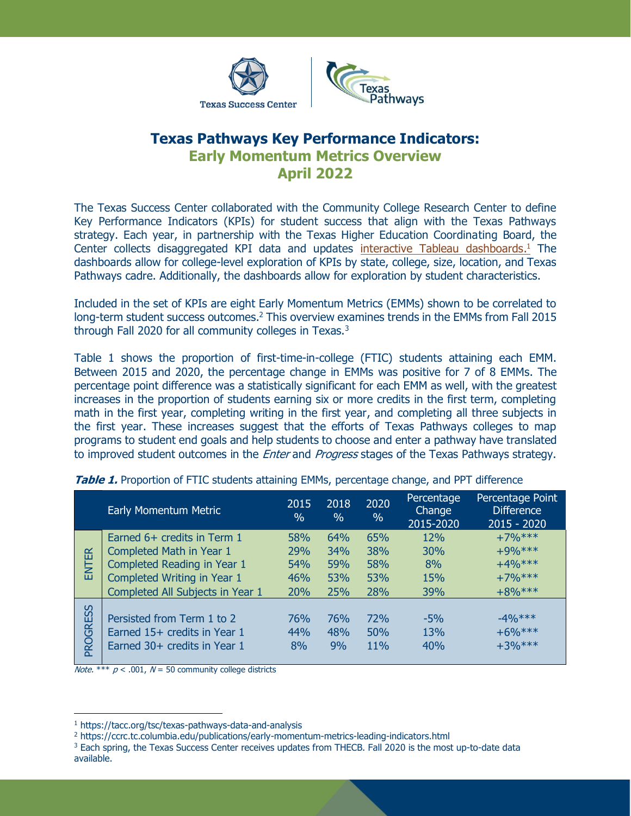



## **Texas Pathways Key Performance Indicators: Early Momentum Metrics Overview April 2022**

The Texas Success Center collaborated with the Community College Research Center to define Key Performance Indicators (KPIs) for student success that align with the Texas Pathways strategy. Each year, in partnership with the Texas Higher Education Coordinating Board, the Center collects disaggregated KPI data and updates [interactive Tableau dashboards.](https://tacc.org/tsc/texas-pathways-data-and-analysis)<sup>1</sup> The dashboards allow for college-level exploration of KPIs by state, college, size, location, and Texas Pathways cadre. Additionally, the dashboards allow for exploration by student characteristics.

Included in the set of KPIs are eight Early Momentum Metrics (EMMs) shown to be correlated to long-term student success outcomes.<sup>2</sup> This overview examines trends in the EMMs from Fall 2015 through Fall 2020 for all community colleges in Texas. $3$ 

Table 1 shows the proportion of first-time-in-college (FTIC) students attaining each EMM. Between 2015 and 2020, the percentage change in EMMs was positive for 7 of 8 EMMs. The percentage point difference was a statistically significant for each EMM as well, with the greatest increases in the proportion of students earning six or more credits in the first term, completing math in the first year, completing writing in the first year, and completing all three subjects in the first year. These increases suggest that the efforts of Texas Pathways colleges to map programs to student end goals and help students to choose and enter a pathway have translated to improved student outcomes in the *Enter* and *Progress* stages of the Texas Pathways strategy.

|              | <b>Early Momentum Metric</b>                                                               | 2015<br>$\frac{0}{0}$ | 2018<br>$\%$     | 2020<br>$\%$             | Percentage<br>Change<br>2015-2020 | Percentage Point<br><b>Difference</b><br>$2015 - 2020$ |
|--------------|--------------------------------------------------------------------------------------------|-----------------------|------------------|--------------------------|-----------------------------------|--------------------------------------------------------|
|              | Earned 6+ credits in Term 1                                                                | 58%                   | 64%              | 65%                      | 12%                               | $+7%$ ***                                              |
| 岛<br>는<br>이크 | Completed Math in Year 1                                                                   | 29%                   | <b>34%</b>       | 38%                      | 30%                               | $+9\%***$                                              |
|              | Completed Reading in Year 1                                                                | 54%                   | 59%              | 58%                      | 8%                                | $+4\%***$                                              |
|              | Completed Writing in Year 1                                                                | 46%                   | 53%              | 53%                      | 15%                               | $+7%$ ***                                              |
|              | Completed All Subjects in Year 1                                                           | 20%                   | 25%              | 28%                      | 39%                               | $+8\%***$                                              |
| PROGRESS     | Persisted from Term 1 to 2<br>Earned 15+ credits in Year 1<br>Earned 30+ credits in Year 1 | 76%<br>44%<br>8%      | 76%<br>48%<br>9% | <b>72%</b><br>50%<br>11% | $-5%$<br>13%<br>40%               | $-4\%***$<br>$+6\%***$<br>$+3%***$                     |

**Table 1.** Proportion of FTIC students attaining EMMs, percentage change, and PPT difference

*Note.* \*\*\*  $p < .001$ ,  $N = 50$  community college districts

<sup>1</sup> https://tacc.org/tsc/texas-pathways-data-and-analysis

<sup>2</sup> https://ccrc.tc.columbia.edu/publications/early-momentum-metrics-leading-indicators.html

<sup>&</sup>lt;sup>3</sup> Each spring, the Texas Success Center receives updates from THECB. Fall 2020 is the most up-to-date data available.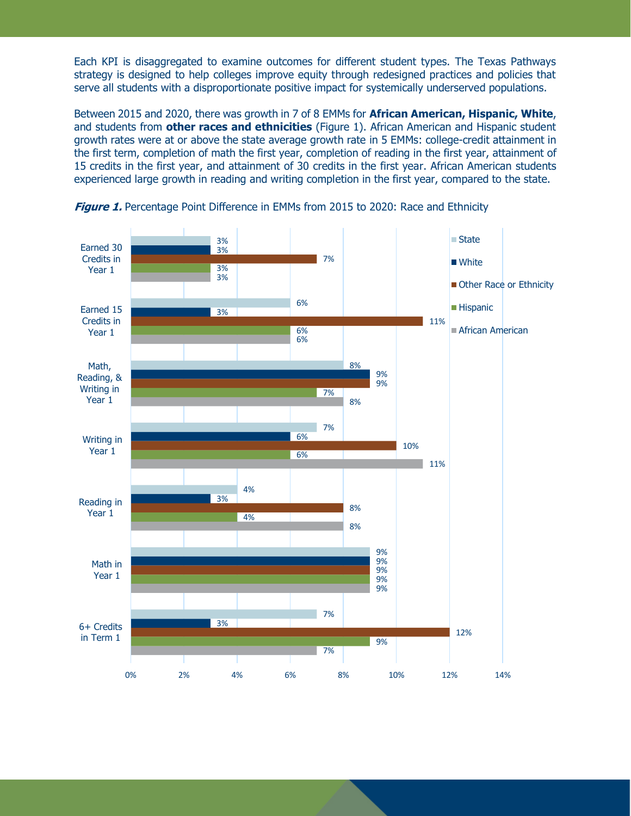Each KPI is disaggregated to examine outcomes for different student types. The Texas Pathways strategy is designed to help colleges improve equity through redesigned practices and policies that serve all students with a disproportionate positive impact for systemically underserved populations.

Between 2015 and 2020, there was growth in 7 of 8 EMMs for **African American, Hispanic, White**, and students from **other races and ethnicities** (Figure 1). African American and Hispanic student growth rates were at or above the state average growth rate in 5 EMMs: college-credit attainment in the first term, completion of math the first year, completion of reading in the first year, attainment of 15 credits in the first year, and attainment of 30 credits in the first year. African American students experienced large growth in reading and writing completion in the first year, compared to the state.



**Figure 1.** Percentage Point Difference in EMMs from 2015 to 2020: Race and Ethnicity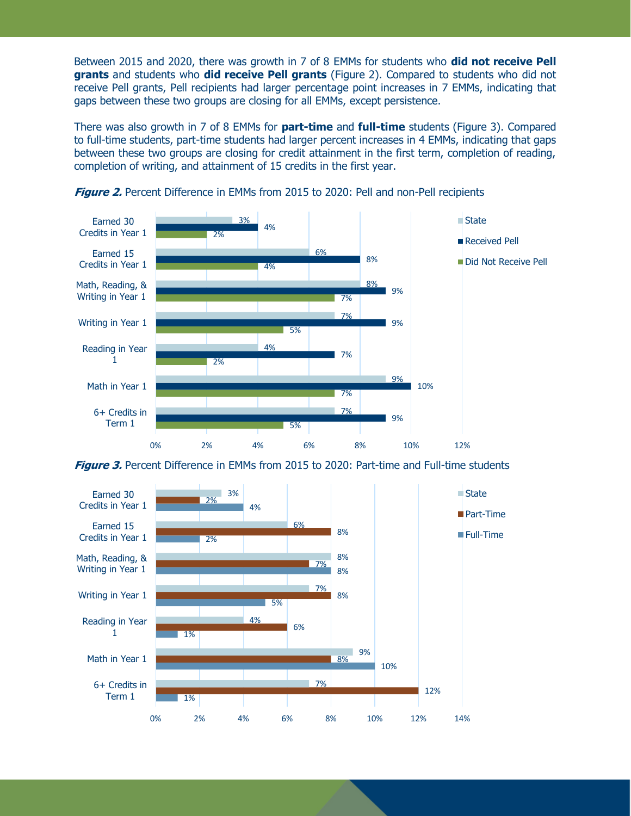Between 2015 and 2020, there was growth in 7 of 8 EMMs for students who **did not receive Pell grants** and students who **did receive Pell grants** (Figure 2). Compared to students who did not receive Pell grants, Pell recipients had larger percentage point increases in 7 EMMs, indicating that gaps between these two groups are closing for all EMMs, except persistence.

There was also growth in 7 of 8 EMMs for **part-time** and **full-time** students (Figure 3). Compared to full-time students, part-time students had larger percent increases in 4 EMMs, indicating that gaps between these two groups are closing for credit attainment in the first term, completion of reading, completion of writing, and attainment of 15 credits in the first year.